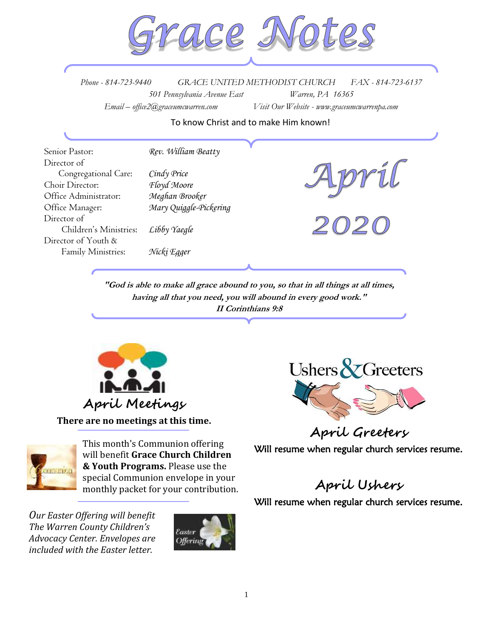

*Phone - 814-723-9440 GRACE UNITED METHODIST CHURCH FAX - 814-723-6137 501 Pennsylvania Avenue East Warren, PA 16365 Email – office2@graceumcwarren.com Visit Our Website - www.graceumcwarrenpa.com* 

To know Christ and to make Him known!

| Senior Pastor:         | Rev. William Beatty    |  |
|------------------------|------------------------|--|
| Director of            |                        |  |
| Congregational Care:   | Cindy Price            |  |
| Choir Director:        | Floyd Moore            |  |
| Office Administrator:  | Meghan Brooker         |  |
| Office Manager:        | Mary Quiggle-Pickering |  |
| Director of            |                        |  |
| Children's Ministries: | Libby Yaegle           |  |
| Director of Youth &    |                        |  |
| Family Ministries:     | Nicki Egger            |  |
|                        |                        |  |

 **"God is able to make all grace abound to you, so that in all things at all times, having all that you need, you will abound in every good work." II Corinthians 9:8**



**There are no meetings at this time.**



This month's Communion offering will benefit **Grace Church Children & Youth Programs.** Please use the special Communion envelope in your monthly packet for your contribution.

*Our Easter Offering will benefit The Warren County Children's Advocacy Center. Envelopes are included with the Easter letter.*





**April Greeters**

Will resume when regular church services resume.

## **April Ushers**

Will resume when regular church services resume.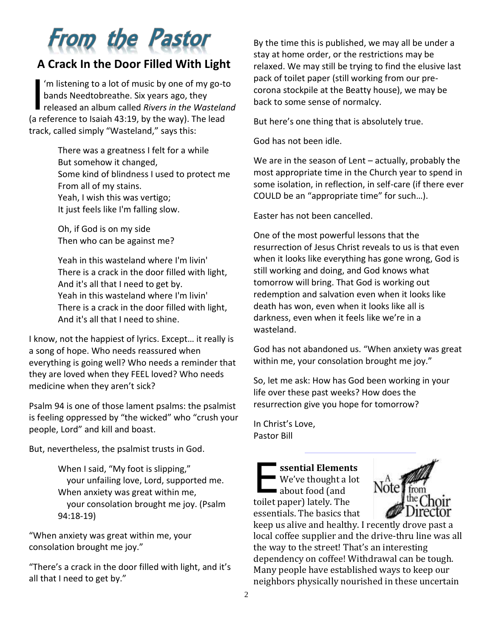# **From the Pastor**

### **A Crack In the Door Filled With Light**

'm listening to a lot of music by one of my go-to bands Needtobreathe. Six years ago, they im listening to a lot of music by one of my go-to<br>bands Needtobreathe. Six years ago, they<br>released an album called *Rivers in the Wasteland* (a reference to Isaiah 43:19, by the way). The lead track, called simply "Wasteland," says this:

> There was a greatness I felt for a while But somehow it changed, Some kind of blindness I used to protect me From all of my stains. Yeah, I wish this was vertigo; It just feels like I'm falling slow.

Oh, if God is on my side Then who can be against me?

Yeah in this wasteland where I'm livin' There is a crack in the door filled with light, And it's all that I need to get by. Yeah in this wasteland where I'm livin' There is a crack in the door filled with light, And it's all that I need to shine.

I know, not the happiest of lyrics. Except… it really is a song of hope. Who needs reassured when everything is going well? Who needs a reminder that they are loved when they FEEL loved? Who needs medicine when they aren't sick?

Psalm 94 is one of those lament psalms: the psalmist is feeling oppressed by "the wicked" who "crush your people, Lord" and kill and boast.

But, nevertheless, the psalmist trusts in God.

When I said, "My foot is slipping," your unfailing love, Lord, supported me. When anxiety was great within me, your consolation brought me joy. (Psalm 94:18-19)

"When anxiety was great within me, your consolation brought me joy."

"There's a crack in the door filled with light, and it's all that I need to get by."

By the time this is published, we may all be under a stay at home order, or the restrictions may be relaxed. We may still be trying to find the elusive last pack of toilet paper (still working from our precorona stockpile at the Beatty house), we may be back to some sense of normalcy.

But here's one thing that is absolutely true.

God has not been idle.

We are in the season of Lent – actually, probably the most appropriate time in the Church year to spend in some isolation, in reflection, in self-care (if there ever COULD be an "appropriate time" for such…).

Easter has not been cancelled.

One of the most powerful lessons that the resurrection of Jesus Christ reveals to us is that even when it looks like everything has gone wrong, God is still working and doing, and God knows what tomorrow will bring. That God is working out redemption and salvation even when it looks like death has won, even when it looks like all is darkness, even when it feels like we're in a wasteland.

God has not abandoned us. "When anxiety was great within me, your consolation brought me joy."

So, let me ask: How has God been working in your life over these past weeks? How does the resurrection give you hope for tomorrow?

In Christ's Love, Pastor Bill

**ssential Elements** We've thought a lot about food (and toilet paper) lately. The essentials. The basics that E



keep us alive and healthy. I recently drove past a local coffee supplier and the drive-thru line was all the way to the street! That's an interesting dependency on coffee! Withdrawal can be tough. Many people have established ways to keep our neighbors physically nourished in these uncertain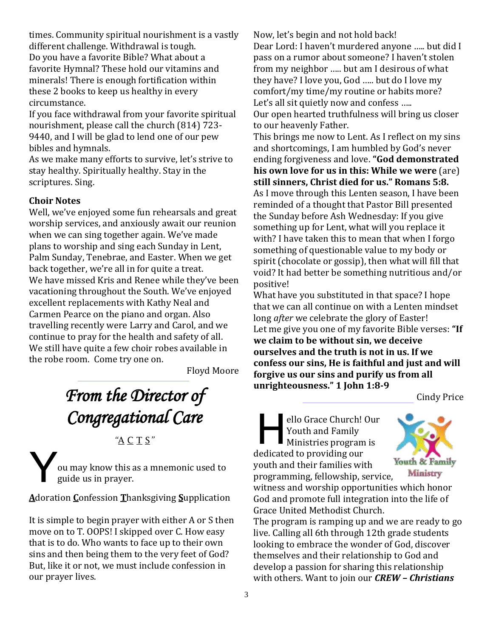times. Community spiritual nourishment is a vastly different challenge. Withdrawal is tough. Do you have a favorite Bible? What about a favorite Hymnal? These hold our vitamins and minerals! There is enough fortification within these 2 books to keep us healthy in every circumstance.

If you face withdrawal from your favorite spiritual nourishment, please call the church (814) 723- 9440, and I will be glad to lend one of our pew bibles and hymnals.

As we make many efforts to survive, let's strive to stay healthy. Spiritually healthy. Stay in the scriptures. Sing.

#### **Choir Notes**

Well, we've enjoyed some fun rehearsals and great worship services, and anxiously await our reunion when we can sing together again. We've made plans to worship and sing each Sunday in Lent, Palm Sunday, Tenebrae, and Easter. When we get back together, we're all in for quite a treat. We have missed Kris and Renee while they've been vacationing throughout the South. We've enjoyed excellent replacements with Kathy Neal and Carmen Pearce on the piano and organ. Also travelling recently were Larry and Carol, and we continue to pray for the health and safety of all. We still have quite a few choir robes available in the robe room. Come try one on.

Floyd Moore

# *From the Director of Congregational Care*

*"*A C T S*"*

ou may know this as a mnemonic used to guide us in prayer. Y

**A**doration **C**onfession **T**hanksgiving **S**upplication

It is simple to begin prayer with either A or S then move on to T. OOPS! I skipped over C. How easy that is to do. Who wants to face up to their own sins and then being them to the very feet of God? But, like it or not, we must include confession in our prayer lives.

Now, let's begin and not hold back!

Dear Lord: I haven't murdered anyone ….. but did I pass on a rumor about someone? I haven't stolen from my neighbor ….. but am I desirous of what they have? I love you, God ….. but do I love my comfort/my time/my routine or habits more? Let's all sit quietly now and confess ..... Our open hearted truthfulness will bring us closer to our heavenly Father.

This brings me now to Lent. As I reflect on my sins and shortcomings, I am humbled by God's never ending forgiveness and love. **"God demonstrated his own love for us in this: While we were** (are) **still sinners, Christ died for us." Romans 5:8.**  As I move through this Lenten season, I have been reminded of a thought that Pastor Bill presented the Sunday before Ash Wednesday: If you give something up for Lent, what will you replace it with? I have taken this to mean that when I forgo something of questionable value to my body or spirit (chocolate or gossip), then what will fill that void? It had better be something nutritious and/or positive!

What have you substituted in that space? I hope that we can all continue on with a Lenten mindset long *after* we celebrate the glory of Easter! Let me give you one of my favorite Bible verses: **"If we claim to be without sin, we deceive ourselves and the truth is not in us. If we confess our sins, He is faithful and just and will forgive us our sins and purify us from all unrighteousness." 1 John 1:8-9**

Cindy Price

ello Grace Church! Our Youth and Family Ministries program is dedicated to providing our youth and their families with programming, fellowship, service, H



witness and worship opportunities which honor God and promote full integration into the life of Grace United Methodist Church.

The program is ramping up and we are ready to go live. Calling all 6th through 12th grade students looking to embrace the wonder of God, discover themselves and their relationship to God and develop a passion for sharing this relationship with others. Want to join our *CREW – Christians*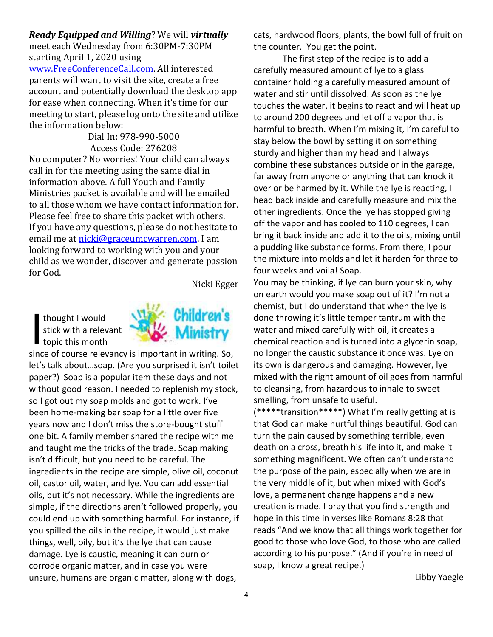*Ready Equipped and Willing*? We will *virtually* meet each Wednesday from 6:30PM-7:30PM starting April 1, 2020 using [www.FreeConferenceCall.com.](http://www.freeconferencecall.com/) All interested parents will want to visit the site, create a free account and potentially download the desktop app for ease when connecting. When it's time for our meeting to start, please log onto the site and utilize the information below:

Dial In: 978-990-5000 Access Code: 276208 No computer? No worries! Your child can always call in for the meeting using the same dial in information above. A full Youth and Family Ministries packet is available and will be emailed to all those whom we have contact information for. Please feel free to share this packet with others. If you have any questions, please do not hesitate to email me at [nicki@graceumcwarren.com.](mailto:nicki@graceumcwarren.com) I am looking forward to working with you and your child as we wonder, discover and generate passion for God.

Nicki Egger

thought I would stick with a relevant thought I would<br>stick with a relev-<br>topic this month



since of course relevancy is important in writing. So, let's talk about…soap. (Are you surprised it isn't toilet paper?) Soap is a popular item these days and not without good reason. I needed to replenish my stock, so I got out my soap molds and got to work. I've been home-making bar soap for a little over five years now and I don't miss the store-bought stuff one bit. A family member shared the recipe with me and taught me the tricks of the trade. Soap making isn't difficult, but you need to be careful. The ingredients in the recipe are simple, olive oil, coconut oil, castor oil, water, and lye. You can add essential oils, but it's not necessary. While the ingredients are simple, if the directions aren't followed properly, you could end up with something harmful. For instance, if you spilled the oils in the recipe, it would just make things, well, oily, but it's the lye that can cause damage. Lye is caustic, meaning it can burn or corrode organic matter, and in case you were unsure, humans are organic matter, along with dogs,

cats, hardwood floors, plants, the bowl full of fruit on the counter. You get the point.

The first step of the recipe is to add a carefully measured amount of lye to a glass container holding a carefully measured amount of water and stir until dissolved. As soon as the lye touches the water, it begins to react and will heat up to around 200 degrees and let off a vapor that is harmful to breath. When I'm mixing it, I'm careful to stay below the bowl by setting it on something sturdy and higher than my head and I always combine these substances outside or in the garage, far away from anyone or anything that can knock it over or be harmed by it. While the lye is reacting, I head back inside and carefully measure and mix the other ingredients. Once the lye has stopped giving off the vapor and has cooled to 110 degrees, I can bring it back inside and add it to the oils, mixing until a pudding like substance forms. From there, I pour the mixture into molds and let it harden for three to four weeks and voila! Soap.

You may be thinking, if lye can burn your skin, why on earth would you make soap out of it? I'm not a chemist, but I do understand that when the lye is done throwing it's little temper tantrum with the water and mixed carefully with oil, it creates a chemical reaction and is turned into a glycerin soap, no longer the caustic substance it once was. Lye on its own is dangerous and damaging. However, lye mixed with the right amount of oil goes from harmful to cleansing, from hazardous to inhale to sweet smelling, from unsafe to useful.

(\*\*\*\*\*transition\*\*\*\*\*) What I'm really getting at is that God can make hurtful things beautiful. God can turn the pain caused by something terrible, even death on a cross, breath his life into it, and make it something magnificent. We often can't understand the purpose of the pain, especially when we are in the very middle of it, but when mixed with God's love, a permanent change happens and a new creation is made. I pray that you find strength and hope in this time in verses like Romans 8:28 that reads "And we know that all things work together for good to those who love God, to those who are called according to his purpose." (And if you're in need of soap, I know a great recipe.)

Libby Yaegle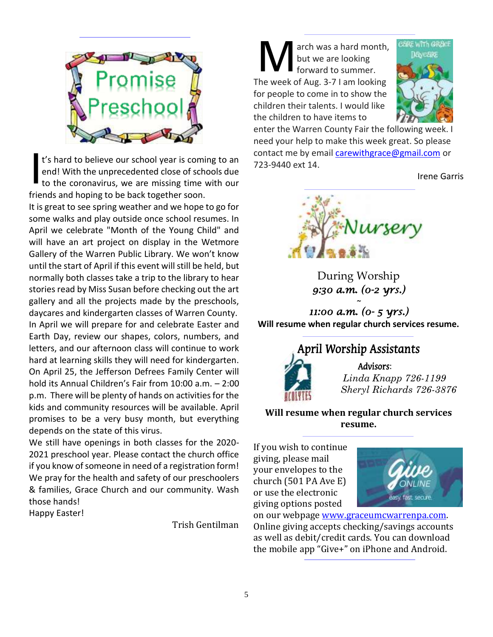

t's hard to believe our school year is coming to an end! With the unprecedented close of schools due to the coronavirus, we are missing time with our friends and hoping to be back together soon. I

It is great to see spring weather and we hope to go for some walks and play outside once school resumes. In April we celebrate "Month of the Young Child" and will have an art project on display in the Wetmore Gallery of the Warren Public Library. We won't know until the start of April if this event will still be held, but normally both classes take a trip to the library to hear stories read by Miss Susan before checking out the art gallery and all the projects made by the preschools, daycares and kindergarten classes of Warren County. In April we will prepare for and celebrate Easter and Earth Day, review our shapes, colors, numbers, and letters, and our afternoon class will continue to work hard at learning skills they will need for kindergarten. On April 25, the Jefferson Defrees Family Center will hold its Annual Children's Fair from 10:00 a.m. – 2:00 p.m. There will be plenty of hands on activities for the kids and community resources will be available. April promises to be a very busy month, but everything depends on the state of this virus.

We still have openings in both classes for the 2020- 2021 preschool year. Please contact the church office if you know of someone in need of a registration form! We pray for the health and safety of our preschoolers & families, Grace Church and our community. Wash those hands!

Happy Easter!

Trish Gentilman

arch was a hard month, but we are looking forward to summer. The week of Aug. 3-7 I am looking for people to come in to show the children their talents. I would like the children to have items to M



enter the Warren County Fair the following week. I need your help to make this week great. So please contact me by email [carewithgrace@gmail.com](mailto:carewithgrace@gmail.com) or 723-9440 ext 14.

Irene Garris



During Worship *9:30 a.m. (0-2 yrs.) ~* 

*11:00 a.m. (0- 5 yrs.)*  **Will resume when regular church services resume.**



 *Linda Knapp 726-1199 Sheryl Richards 726-3876*

**Will resume when regular church services resume.**

If you wish to continue giving, please mail your envelopes to the church (501 PA Ave E) or use the electronic giving options posted



on our webpage [www.graceumcwarrenpa.com.](http://www.graceumcwarrenpa.com/) Online giving accepts checking/savings accounts as well as debit/credit cards. You can download the mobile app "Give+" on iPhone and Android.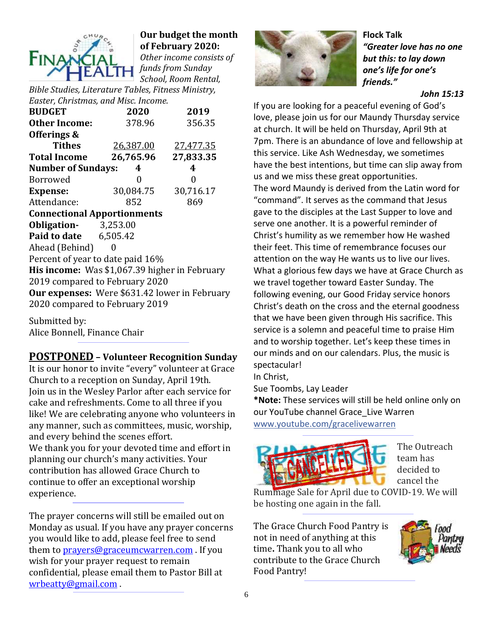

### **Our budget the month of February 2020:**

*Other income consists of funds from Sunday School, Room Rental,* 

*Bible Studies, Literature Tables, Fitness Ministry, Easter, Christmas, and Misc. Income.*

| <b>BUDGET</b>                                 | 2020      | 2019      |  |  |  |  |  |  |
|-----------------------------------------------|-----------|-----------|--|--|--|--|--|--|
| <b>Other Income:</b>                          | 378.96    | 356.35    |  |  |  |  |  |  |
| Offerings &                                   |           |           |  |  |  |  |  |  |
| <b>Tithes</b>                                 | 26,387.00 | 27,477.35 |  |  |  |  |  |  |
| <b>Total Income</b>                           | 26,765.96 | 27,833.35 |  |  |  |  |  |  |
| <b>Number of Sundays:</b>                     | 4         | 4         |  |  |  |  |  |  |
| Borrowed                                      | 0         | 0         |  |  |  |  |  |  |
| <b>Expense:</b>                               | 30,084.75 | 30,716.17 |  |  |  |  |  |  |
| Attendance:                                   | 852       | 869       |  |  |  |  |  |  |
| <b>Connectional Apportionments</b>            |           |           |  |  |  |  |  |  |
| <b>Obligation-</b> 3,253.00                   |           |           |  |  |  |  |  |  |
| <b>Paid to date</b> 6,505.42                  |           |           |  |  |  |  |  |  |
| Ahead (Behind)                                | 0         |           |  |  |  |  |  |  |
| Percent of year to date paid 16%              |           |           |  |  |  |  |  |  |
| His income: Was \$1,067.39 higher in February |           |           |  |  |  |  |  |  |
| 2019 compared to February 2020                |           |           |  |  |  |  |  |  |
| Our expenses: Were \$631.42 lower in February |           |           |  |  |  |  |  |  |
| 2020 compared to February 2019                |           |           |  |  |  |  |  |  |

Submitted by: Alice Bonnell, Finance Chair

### **POSTPONED – Volunteer Recognition Sunday**

It is our honor to invite "every" volunteer at Grace Church to a reception on Sunday, April 19th. Join us in the Wesley Parlor after each service for cake and refreshments. Come to all three if you like! We are celebrating anyone who volunteers in any manner, such as committees, music, worship, and every behind the scenes effort. We thank you for your devoted time and effort in planning our church's many activities. Your contribution has allowed Grace Church to continue to offer an exceptional worship experience.

The prayer concerns will still be emailed out on Monday as usual. If you have any prayer concerns you would like to add, please feel free to send them to [prayers@graceumcwarren.com](mailto:prayers@graceumcwarren.com) . If you wish for your prayer request to remain confidential, please email them to Pastor Bill at [wrbeatty@gmail.com](mailto:wrbeatty@gmail.com) .



**Flock Talk** *"Greater love has no one but this: to lay down one's life for one's friends."*

*John 15:13*

If you are looking for a peaceful evening of God's love, please join us for our Maundy Thursday service at church. It will be held on Thursday, April 9th at 7pm. There is an abundance of love and fellowship at this service. Like Ash Wednesday, we sometimes have the best intentions, but time can slip away from us and we miss these great opportunities. The word Maundy is derived from the Latin word for "command". It serves as the command that Jesus gave to the disciples at the Last Supper to love and serve one another. It is a powerful reminder of Christ's humility as we remember how He washed their feet. This time of remembrance focuses our attention on the way He wants us to live our lives. What a glorious few days we have at Grace Church as we travel together toward Easter Sunday. The following evening, our Good Friday service honors Christ's death on the cross and the eternal goodness that we have been given through His sacrifice. This service is a solemn and peaceful time to praise Him and to worship together. Let's keep these times in our minds and on our calendars. Plus, the music is spectacular!

In Christ,

Sue Toombs, Lay Leader

**\*Note:** These services will still be held online only on our YouTube channel Grace Live Warren [www.youtube.com/gracelivewarren](https://www.youtube.com/gracelivewarren?fbclid=IwAR3u-jr5UU6QEc7xsUbGXt5v6uQzgWBRndBWf927XYhnMFQiiYMwj6Y7HvE)



The Outreach team has decided to cancel the

Rummage Sale for April due to COVID-19. We will be hosting one again in the fall.

The Grace Church Food Pantry is not in need of anything at this time**.** Thank you to all who contribute to the Grace Church Food Pantry!

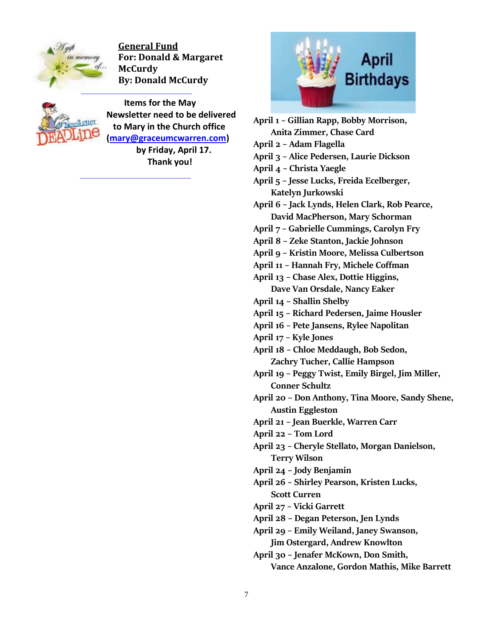

**General Fund For: Donald & Margaret McCurdy By: Donald McCurdy**



 **Items for the May Newsletter need to be delivered to Mary in the Church office [\(mary@graceumcwarren.com\)](mailto:mary@graceumcwarren.com) by Friday, April 17.**

**Thank you!**



**April 1 – Gillian Rapp, Bobby Morrison, Anita Zimmer, Chase Card April 2 – Adam Flagella April 3 – Alice Pedersen, Laurie Dickson April 4 – Christa Yaegle April 5 – Jesse Lucks, Freida Ecelberger, Katelyn Jurkowski April 6 – Jack Lynds, Helen Clark, Rob Pearce, David MacPherson, Mary Schorman April 7 – Gabrielle Cummings, Carolyn Fry April 8 – Zeke Stanton, Jackie Johnson April 9 – Kristin Moore, Melissa Culbertson April 11 – Hannah Fry, Michele Coffman April 13 – Chase Alex, Dottie Higgins, Dave Van Orsdale, Nancy Eaker April 14 – Shallin Shelby April 15 – Richard Pedersen, Jaime Housler April 16 – Pete Jansens, Rylee Napolitan April 17 – Kyle Jones April 18 – Chloe Meddaugh, Bob Sedon, Zachry Tucher, Callie Hampson April 19 – Peggy Twist, Emily Birgel, Jim Miller, Conner Schultz April 20 – Don Anthony, Tina Moore, Sandy Shene, Austin Eggleston April 21 – Jean Buerkle, Warren Carr April 22 – Tom Lord April 23 – Cheryle Stellato, Morgan Danielson, Terry Wilson April 24 – Jody Benjamin April 26 – Shirley Pearson, Kristen Lucks, Scott Curren April 27 – Vicki Garrett April 28 – Degan Peterson, Jen Lynds April 29 – Emily Weiland, Janey Swanson, Jim Ostergard, Andrew Knowlton April 30 – Jenafer McKown, Don Smith, Vance Anzalone, Gordon Mathis, Mike Barrett**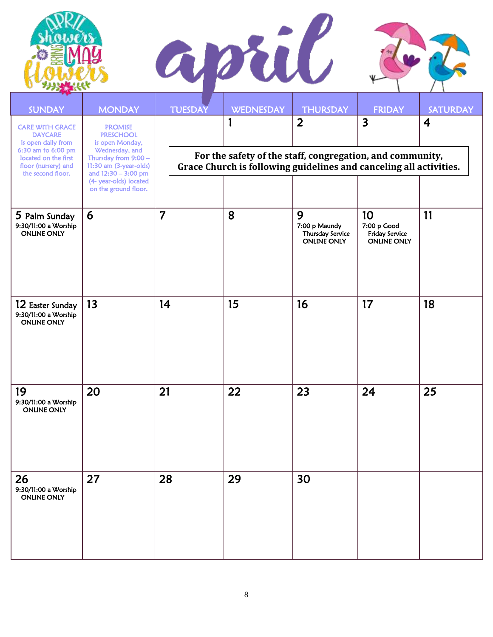

| SUNDAY                                                                                                                                                   | <b>MONDAY</b>                                                                                                                                                                                      | <b>TUESDAY</b>                                                                                                                                                                                   | <b>WEDNESDAY</b> | <b>THURSDAY</b>                                              | <b>FRIDAY</b>                                             | <b>SATURDAY</b> |  |
|----------------------------------------------------------------------------------------------------------------------------------------------------------|----------------------------------------------------------------------------------------------------------------------------------------------------------------------------------------------------|--------------------------------------------------------------------------------------------------------------------------------------------------------------------------------------------------|------------------|--------------------------------------------------------------|-----------------------------------------------------------|-----------------|--|
| <b>CARE WITH GRACE</b><br><b>DAYCARE</b><br>is open daily from<br>6:30 am to 6:00 pm<br>located on the first<br>floor (nursery) and<br>the second floor. | <b>PROMISE</b><br><b>PRESCHOOL</b><br>is open Monday,<br>Wednesday, and<br>Thursday from 9:00 -<br>11:30 am (3-year-olds)<br>and 12:30 - 3:00 pm<br>(4- year-olds) located<br>on the ground floor. | $\overline{\mathbf{3}}$<br>$\overline{2}$<br>$\boldsymbol{4}$<br>For the safety of the staff, congregation, and community,<br>Grace Church is following guidelines and canceling all activities. |                  |                                                              |                                                           |                 |  |
| 5 Palm Sunday<br>9:30/11:00 a Worship<br><b>ONLINE ONLY</b>                                                                                              | 6                                                                                                                                                                                                  | $\overline{7}$                                                                                                                                                                                   | 8                | 9<br>7:00 p Maundy<br>Thursday Service<br><b>ONLINE ONLY</b> | 10<br>7:00 p Good<br>Friday Service<br><b>ONLINE ONLY</b> | 11              |  |
| 12 Easter Sunday<br>9:30/11:00 a Worship<br><b>ONLINE ONLY</b>                                                                                           | 13                                                                                                                                                                                                 | 14                                                                                                                                                                                               | 15               | 16                                                           | 17                                                        | 18              |  |
| 19<br>9:30/11:00 a Worship<br><b>ONLINE ONLY</b>                                                                                                         | 20                                                                                                                                                                                                 | 21                                                                                                                                                                                               | 22               | 23                                                           | 24                                                        | 25              |  |
| 26<br>9:30/11:00 a Worship<br><b>ONLINE ONLY</b>                                                                                                         | 27                                                                                                                                                                                                 | 28                                                                                                                                                                                               | 29               | 30                                                           |                                                           |                 |  |